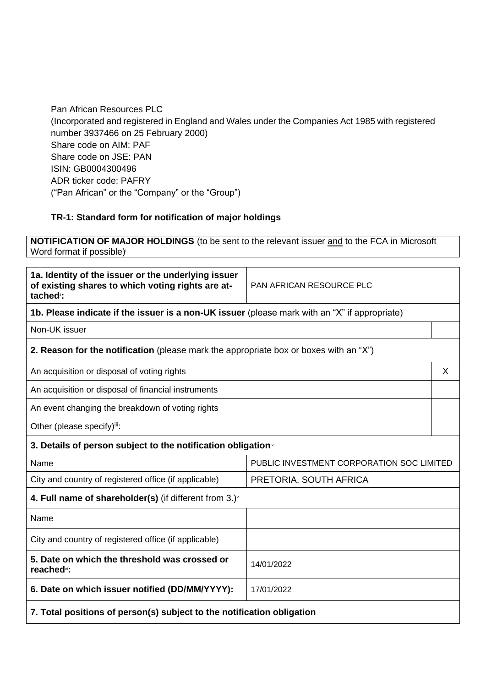Pan African Resources PLC (Incorporated and registered in England and Wales under the Companies Act 1985 with registered number 3937466 on 25 February 2000) Share code on AIM: PAF Share code on JSE: PAN ISIN: GB0004300496 ADR ticker code: PAFRY ("Pan African" or the "Company" or the "Group")

## **TR-1: Standard form for notification of major holdings**

**NOTIFICATION OF MAJOR HOLDINGS** (to be sent to the relevant issuer and to the FCA in Microsoft Word format if possible)

| 1a. Identity of the issuer or the underlying issuer<br>of existing shares to which voting rights are at-<br>tached <sup>"</sup> : | <b>PAN AFRICAN RESOURCE PLC</b>                                                               |   |  |
|-----------------------------------------------------------------------------------------------------------------------------------|-----------------------------------------------------------------------------------------------|---|--|
|                                                                                                                                   | 1b. Please indicate if the issuer is a non-UK issuer (please mark with an "X" if appropriate) |   |  |
| Non-UK issuer                                                                                                                     |                                                                                               |   |  |
| 2. Reason for the notification (please mark the appropriate box or boxes with an "X")                                             |                                                                                               |   |  |
| An acquisition or disposal of voting rights                                                                                       |                                                                                               | X |  |
| An acquisition or disposal of financial instruments                                                                               |                                                                                               |   |  |
| An event changing the breakdown of voting rights                                                                                  |                                                                                               |   |  |
| Other (please specify)iii:                                                                                                        |                                                                                               |   |  |
| 3. Details of person subject to the notification obligation <sup>®</sup>                                                          |                                                                                               |   |  |
| Name                                                                                                                              | PUBLIC INVESTMENT CORPORATION SOC LIMITED                                                     |   |  |
| City and country of registered office (if applicable)                                                                             | PRETORIA, SOUTH AFRICA                                                                        |   |  |
| 4. Full name of shareholder(s) (if different from $3.$ ) $\sqrt{ }$                                                               |                                                                                               |   |  |
| Name                                                                                                                              |                                                                                               |   |  |
| City and country of registered office (if applicable)                                                                             |                                                                                               |   |  |
| 5. Date on which the threshold was crossed or<br>14/01/2022<br>reached <sup>vi</sup> :                                            |                                                                                               |   |  |
| 6. Date on which issuer notified (DD/MM/YYYY):<br>17/01/2022                                                                      |                                                                                               |   |  |
| 7. Total positions of person(s) subject to the notification obligation                                                            |                                                                                               |   |  |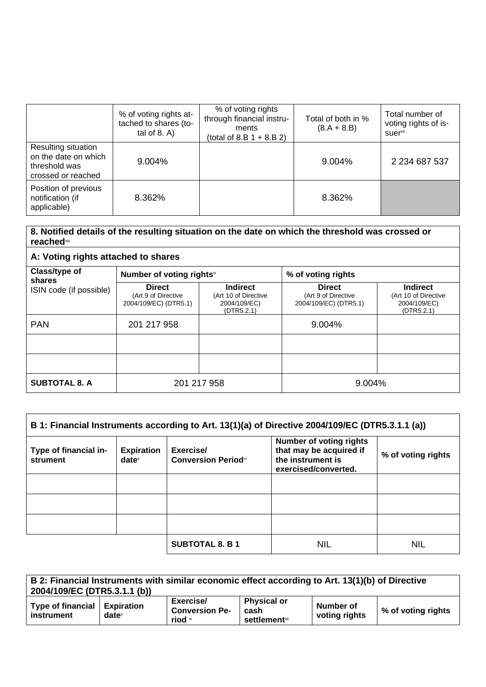|                                                                                    | % of voting rights at-<br>tached to shares (to-<br>tal of $8. A$ ) | % of voting rights<br>through financial instru-<br>ments<br>(total of 8.B $1 + 8.B 2$ ) | Total of both in %<br>$(8.A + 8.B)$ | Total number of<br>voting rights of is-<br>suervii |
|------------------------------------------------------------------------------------|--------------------------------------------------------------------|-----------------------------------------------------------------------------------------|-------------------------------------|----------------------------------------------------|
| Resulting situation<br>on the date on which<br>threshold was<br>crossed or reached | 9.004%                                                             |                                                                                         | 9.004%                              | 2 2 3 4 6 8 7 5 3 7                                |
| Position of previous<br>notification (if<br>applicable)                            | 8.362%                                                             |                                                                                         | 8.362%                              |                                                    |

## **8. Notified details of the resulting situation on the date on which the threshold was crossed or reached**viii

| A: Voting rights attached to shares |                                                               |                                                                       |                                                               |                                                                       |  |
|-------------------------------------|---------------------------------------------------------------|-----------------------------------------------------------------------|---------------------------------------------------------------|-----------------------------------------------------------------------|--|
| Class/type of<br>shares             | Number of voting rightsix                                     |                                                                       | % of voting rights                                            |                                                                       |  |
| ISIN code (if possible)             | <b>Direct</b><br>(Art 9 of Directive<br>2004/109/EC) (DTR5.1) | <b>Indirect</b><br>(Art 10 of Directive<br>2004/109/EC)<br>(DTR5.2.1) | <b>Direct</b><br>(Art 9 of Directive<br>2004/109/EC) (DTR5.1) | <b>Indirect</b><br>(Art 10 of Directive<br>2004/109/EC)<br>(DTR5.2.1) |  |
| <b>PAN</b>                          | 201 217 958                                                   |                                                                       | 9.004%                                                        |                                                                       |  |
|                                     |                                                               |                                                                       |                                                               |                                                                       |  |
|                                     |                                                               |                                                                       |                                                               |                                                                       |  |
| <b>SUBTOTAL 8. A</b>                | 201 217 958                                                   |                                                                       | 9.004%                                                        |                                                                       |  |

| B 1: Financial Instruments according to Art. 13(1)(a) of Directive 2004/109/EC (DTR5.3.1.1 (a)) |                               |                                          |                                                                                                        |                    |
|-------------------------------------------------------------------------------------------------|-------------------------------|------------------------------------------|--------------------------------------------------------------------------------------------------------|--------------------|
| Type of financial in-<br>strument                                                               | <b>Expiration</b><br>$date^x$ | Exercise/<br><b>Conversion Period</b> xi | <b>Number of voting rights</b><br>that may be acquired if<br>the instrument is<br>exercised/converted. | % of voting rights |
|                                                                                                 |                               |                                          |                                                                                                        |                    |
|                                                                                                 |                               |                                          |                                                                                                        |                    |
|                                                                                                 |                               |                                          |                                                                                                        |                    |
|                                                                                                 |                               | <b>SUBTOTAL 8. B 1</b>                   | <b>NIL</b>                                                                                             | <b>NIL</b>         |

| B 2: Financial Instruments with similar economic effect according to Art. 13(1)(b) of Directive<br>2004/109/EC (DTR5.3.1.1 (b)) |                   |                                               |                                                     |                            |                    |
|---------------------------------------------------------------------------------------------------------------------------------|-------------------|-----------------------------------------------|-----------------------------------------------------|----------------------------|--------------------|
| Type of financial   Expiration<br>instrument                                                                                    | date <sup>x</sup> | Exercise/<br><b>Conversion Pe-</b><br>riod xi | <b>Physical or</b><br>cash<br><b>settlement</b> xii | Number of<br>voting rights | % of voting rights |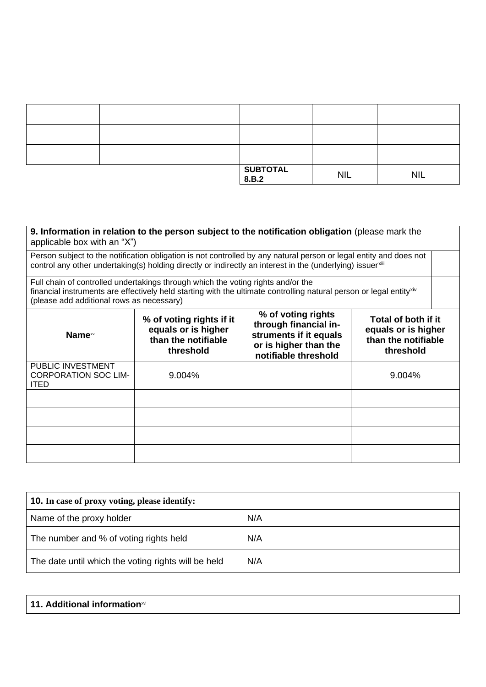|  | $\begin{array}{ l } \hline \text{SUBTOTAL} \ \hline 8.B.2 \hline \end{array}$ | <b>NIL</b> | <b>NIL</b> |
|--|-------------------------------------------------------------------------------|------------|------------|

| applicable box with an "X")                                     |                                                                                     | 9. Information in relation to the person subject to the notification obligation (please mark the                                                                                                                                  |                                                                                |
|-----------------------------------------------------------------|-------------------------------------------------------------------------------------|-----------------------------------------------------------------------------------------------------------------------------------------------------------------------------------------------------------------------------------|--------------------------------------------------------------------------------|
|                                                                 |                                                                                     | Person subject to the notification obligation is not controlled by any natural person or legal entity and does not<br>control any other undertaking(s) holding directly or indirectly an interest in the (underlying) issuerxilli |                                                                                |
| (please add additional rows as necessary)                       | Full chain of controlled undertakings through which the voting rights and/or the    | financial instruments are effectively held starting with the ultimate controlling natural person or legal entityxiv                                                                                                               |                                                                                |
| Name <sup>xv</sup>                                              | % of voting rights if it<br>equals or is higher<br>than the notifiable<br>threshold | % of voting rights<br>through financial in-<br>struments if it equals<br>or is higher than the<br>notifiable threshold                                                                                                            | Total of both if it<br>equals or is higher<br>than the notifiable<br>threshold |
| PUBLIC INVESTMENT<br><b>CORPORATION SOC LIM-</b><br><b>ITED</b> | 9.004%                                                                              |                                                                                                                                                                                                                                   | 9.004%                                                                         |
|                                                                 |                                                                                     |                                                                                                                                                                                                                                   |                                                                                |
|                                                                 |                                                                                     |                                                                                                                                                                                                                                   |                                                                                |
|                                                                 |                                                                                     |                                                                                                                                                                                                                                   |                                                                                |
|                                                                 |                                                                                     |                                                                                                                                                                                                                                   |                                                                                |

| <b>10.</b> In case of proxy voting, please identify: |     |
|------------------------------------------------------|-----|
| Name of the proxy holder                             | N/A |
| The number and % of voting rights held               | N/A |
| The date until which the voting rights will be held  | N/A |

| 11. Additional informationxvi |
|-------------------------------|
|-------------------------------|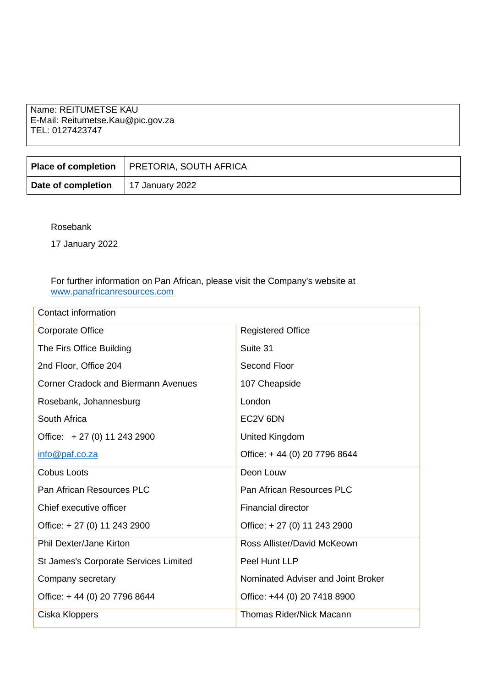Name: REITUMETSE KAU E-Mail: Reitumetse.Kau@pic.gov.za TEL: 0127423747

|                                             | Place of completion   PRETORIA, SOUTH AFRICA |
|---------------------------------------------|----------------------------------------------|
| <b>Date of completion</b>   17 January 2022 |                                              |

Rosebank

17 January 2022

## For further information on Pan African, please visit the Company's website at [www.panafricanresources.com](http://www.panafricanresources.com/)

| Contact information                          |                                    |
|----------------------------------------------|------------------------------------|
| <b>Corporate Office</b>                      | <b>Registered Office</b>           |
| The Firs Office Building                     | Suite 31                           |
| 2nd Floor, Office 204                        | Second Floor                       |
| <b>Corner Cradock and Biermann Avenues</b>   | 107 Cheapside                      |
| Rosebank, Johannesburg                       | London                             |
| South Africa                                 | EC2V 6DN                           |
| Office: +27 (0) 11 243 2900                  | <b>United Kingdom</b>              |
| info@paf.co.za                               | Office: +44 (0) 20 7796 8644       |
| Cobus Loots                                  | Deon Louw                          |
| Pan African Resources PLC                    | Pan African Resources PLC          |
| Chief executive officer                      | <b>Financial director</b>          |
| Office: +27 (0) 11 243 2900                  | Office: +27 (0) 11 243 2900        |
| <b>Phil Dexter/Jane Kirton</b>               | Ross Allister/David McKeown        |
| <b>St James's Corporate Services Limited</b> | Peel Hunt LLP                      |
| Company secretary                            | Nominated Adviser and Joint Broker |
| Office: +44 (0) 20 7796 8644                 | Office: +44 (0) 20 7418 8900       |
| Ciska Kloppers                               | <b>Thomas Rider/Nick Macann</b>    |